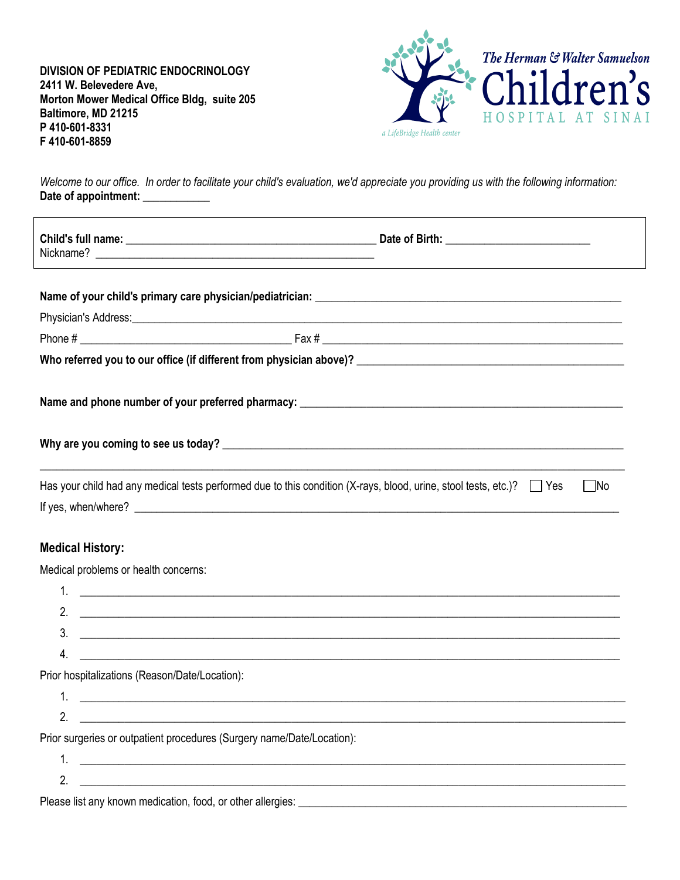**DIVISION OF PEDIATRIC ENDOCRINOLOGY 2411 W. Belevedere Ave, Morton Mower Medical Office Bldg, suite 205 Baltimore, MD 21215 P 410-601-8331 F 410-601-8859**



*Welcome to our office. In order to facilitate your child's evaluation, we'd appreciate you providing us with the following information:* Date of appointment: \_\_\_\_\_\_\_\_\_\_\_\_

|                                                                        | Has your child had any medical tests performed due to this condition $(X$ -rays, blood, urine, stool tests, etc.)? $\Box$ Yes<br>  No                                                                                                |
|------------------------------------------------------------------------|--------------------------------------------------------------------------------------------------------------------------------------------------------------------------------------------------------------------------------------|
|                                                                        | If yes, when/where? <u>example and the set of the set of the set of the set of the set of the set of the set of the set of the set of the set of the set of the set of the set of the set of the set of the set of the set of th</u> |
|                                                                        |                                                                                                                                                                                                                                      |
| <b>Medical History:</b>                                                |                                                                                                                                                                                                                                      |
| Medical problems or health concerns:                                   |                                                                                                                                                                                                                                      |
|                                                                        |                                                                                                                                                                                                                                      |
|                                                                        |                                                                                                                                                                                                                                      |
| 3.                                                                     |                                                                                                                                                                                                                                      |
| 4.                                                                     | <u> 1989 - Jan Samuel Barbara, margaret a shekara ta 1989 - An tsara tsara tsara tsara tsara tsara tsara tsara t</u>                                                                                                                 |
| Prior hospitalizations (Reason/Date/Location):                         |                                                                                                                                                                                                                                      |
| $1_{\cdot}$                                                            | <u> 1989 - Andrea Stationen, Amerikaansk politiker (d. 1989)</u>                                                                                                                                                                     |
| 2                                                                      |                                                                                                                                                                                                                                      |
| Prior surgeries or outpatient procedures (Surgery name/Date/Location): |                                                                                                                                                                                                                                      |
| 1.                                                                     |                                                                                                                                                                                                                                      |
| 2.                                                                     | <u> 1989 - Johann John Stone, markin sanadi amerikan bahasa dalam pengaran sebagai pengaran sebagai pengaran seba</u>                                                                                                                |
| Please list any known medication, food, or other allergies:            | and the control of the control of the control of the control of the control of the control of the control of the                                                                                                                     |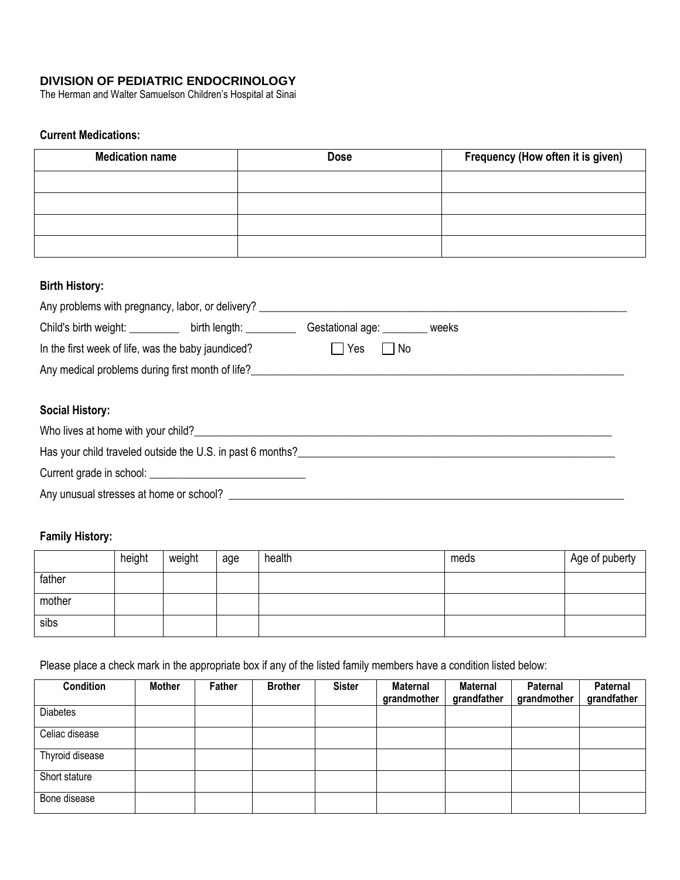# **DIVISION OF PEDIATRIC ENDOCRINOLOGY**

The Herman and Walter Samuelson Children's Hospital at Sinai

# **Current Medications:**

| <b>Medication name</b> | <b>Dose</b> | Frequency (How often it is given) |
|------------------------|-------------|-----------------------------------|
|                        |             |                                   |
|                        |             |                                   |
|                        |             |                                   |
|                        |             |                                   |

### **Birth History:**

| Any problems with pregnancy, labor, or delivery? ________________________________                                                                                                                                                    |  |                        |  |  |  |  |
|--------------------------------------------------------------------------------------------------------------------------------------------------------------------------------------------------------------------------------------|--|------------------------|--|--|--|--|
| Child's birth weight: birth length:                                                                                                                                                                                                  |  | Gestational age: weeks |  |  |  |  |
| In the first week of life, was the baby jaundiced?                                                                                                                                                                                   |  | $\Box$ No<br>Yes       |  |  |  |  |
| Any medical problems during first month of life?                                                                                                                                                                                     |  |                        |  |  |  |  |
|                                                                                                                                                                                                                                      |  |                        |  |  |  |  |
| <b>Social History:</b>                                                                                                                                                                                                               |  |                        |  |  |  |  |
| Who lives at home with your child?<br><u> Who lives at home with your child?</u>                                                                                                                                                     |  |                        |  |  |  |  |
| Has your child traveled outside the U.S. in past 6 months? Letterman the control of the state of the state of the state of the state of the state of the state of the state of the state of the state of the state of the stat       |  |                        |  |  |  |  |
| Current grade in school: <u>contract and contract and contract and contract and contract and contract and contract of the set of the set of the set of the set of the set of the set of the set of the set of the set of the set</u> |  |                        |  |  |  |  |

Any unusual stresses at home or school? \_\_\_\_\_\_\_\_\_\_\_\_\_\_\_\_\_\_\_\_\_\_\_\_\_\_\_\_\_\_\_\_\_\_\_\_\_\_\_\_\_\_\_\_\_\_\_\_\_\_\_\_\_\_\_\_\_\_\_\_\_\_\_\_\_\_\_\_\_\_\_

# **Family History:**

|        | height | weight | age | health | meds | Age of puberty |
|--------|--------|--------|-----|--------|------|----------------|
| father |        |        |     |        |      |                |
| mother |        |        |     |        |      |                |
| sibs   |        |        |     |        |      |                |

Please place a check mark in the appropriate box if any of the listed family members have a condition listed below:

| <b>Condition</b> | <b>Mother</b> | Father | <b>Brother</b> | <b>Sister</b> | <b>Maternal</b><br>grandmother | <b>Maternal</b><br>grandfather | Paternal<br>grandmother | Paternal<br>grandfather |
|------------------|---------------|--------|----------------|---------------|--------------------------------|--------------------------------|-------------------------|-------------------------|
| <b>Diabetes</b>  |               |        |                |               |                                |                                |                         |                         |
| Celiac disease   |               |        |                |               |                                |                                |                         |                         |
| Thyroid disease  |               |        |                |               |                                |                                |                         |                         |
| Short stature    |               |        |                |               |                                |                                |                         |                         |
| Bone disease     |               |        |                |               |                                |                                |                         |                         |